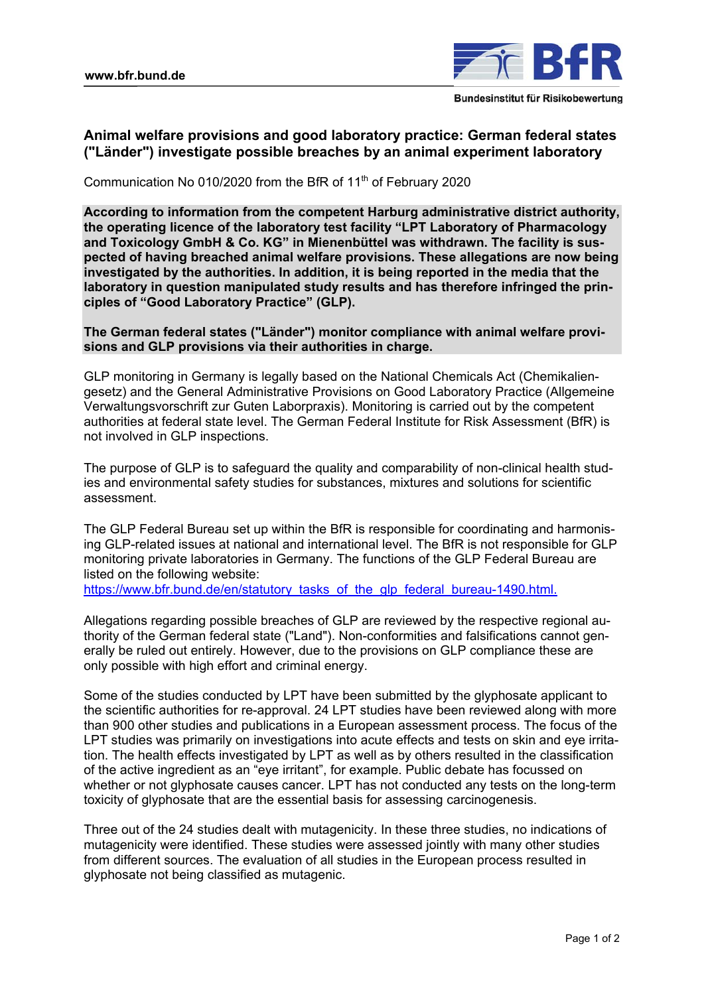

## **Animal welfare provisions and good laboratory practice: German federal states ("Länder") investigate possible breaches by an animal experiment laboratory**

Communication No 010/2020 from the BfR of 11<sup>th</sup> of February 2020

**According to information from the competent Harburg administrative district authority, the operating licence of the laboratory test facility "LPT Laboratory of Pharmacology and Toxicology GmbH & Co. KG" in Mienenbüttel was withdrawn. The facility is suspected of having breached animal welfare provisions. These allegations are now being investigated by the authorities. In addition, it is being reported in the media that the laboratory in question manipulated study results and has therefore infringed the principles of "Good Laboratory Practice" (GLP).** 

**The German federal states ("Länder") monitor compliance with animal welfare provisions and GLP provisions via their authorities in charge.** 

GLP monitoring in Germany is legally based on the National Chemicals Act (Chemikaliengesetz) and the General Administrative Provisions on Good Laboratory Practice (Allgemeine Verwaltungsvorschrift zur Guten Laborpraxis). Monitoring is carried out by the competent authorities at federal state level. The German Federal Institute for Risk Assessment (BfR) is not involved in GLP inspections.

The purpose of GLP is to safeguard the quality and comparability of non-clinical health studies and environmental safety studies for substances, mixtures and solutions for scientific assessment.

The GLP Federal Bureau set up within the BfR is responsible for coordinating and harmonising GLP-related issues at national and international level. The BfR is not responsible for GLP monitoring private laboratories in Germany. The functions of the GLP Federal Bureau are listed on the following website:

[https://www.bfr.bund.de/en/statutory\\_tasks\\_of\\_the\\_glp\\_federal\\_bureau-1490.html.](https://www.bfr.bund.de/en/statutory_tasks_of_the_glp_federal_bureau-1490.html)

Allegations regarding possible breaches of GLP are reviewed by the respective regional authority of the German federal state ("Land"). Non-conformities and falsifications cannot generally be ruled out entirely. However, due to the provisions on GLP compliance these are only possible with high effort and criminal energy.

Some of the studies conducted by LPT have been submitted by the glyphosate applicant to the scientific authorities for re-approval. 24 LPT studies have been reviewed along with more than 900 other studies and publications in a European assessment process. The focus of the LPT studies was primarily on investigations into acute effects and tests on skin and eye irritation. The health effects investigated by LPT as well as by others resulted in the classification of the active ingredient as an "eye irritant", for example. Public debate has focussed on whether or not glyphosate causes cancer. LPT has not conducted any tests on the long-term toxicity of glyphosate that are the essential basis for assessing carcinogenesis.

Three out of the 24 studies dealt with mutagenicity. In these three studies, no indications of mutagenicity were identified. These studies were assessed jointly with many other studies from different sources. The evaluation of all studies in the European process resulted in glyphosate not being classified as mutagenic.